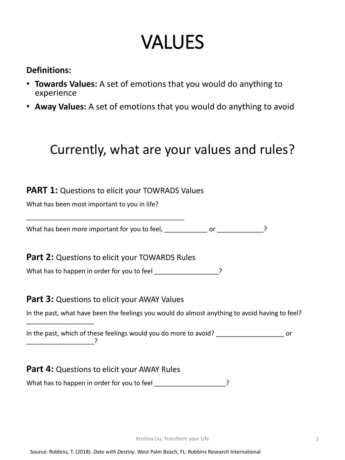# VALUES

#### **Definitions:**

- **Towards Values:** A set of emotions that you would do anything to experience
- **Away Values:** A set of emotions that you would do anything to avoid

### Currently, what are your values and rules?

#### **PART 1:** Questions to elicit your TOWRADS Values

What has been most important to you in life?

\_\_\_\_\_\_\_\_\_\_\_\_\_\_\_\_\_\_\_\_\_\_\_\_\_\_\_\_\_\_\_\_\_\_\_\_\_\_\_\_\_\_\_\_

What has been more important for you to feel, \_\_\_\_\_\_\_\_\_\_\_\_ or \_\_\_\_\_\_\_\_\_\_\_\_\_?

**Part 2:** Questions to elicit your TOWARDS Rules

What has to happen in order for you to feel \_\_\_\_\_\_\_\_\_\_\_\_\_\_\_\_\_\_?

#### **Part 3: Questions to elicit your AWAY Values**

In the past, which of these feelings would you do more to avoid? \_\_\_\_\_\_\_\_\_\_\_\_\_\_\_\_\_\_\_\_\_\_\_\_\_ or \_\_\_\_\_\_\_\_\_\_\_\_\_\_\_\_\_\_\_?

#### **Part 4: Questions to elicit your AWAY Rules**

What has to happen in order for you to feel \_\_\_\_\_\_\_\_\_\_\_\_\_\_\_\_\_\_\_\_\_?

In the past, what have been the feelings you would do almost anything to avoid having to feel?

\_\_\_\_\_\_\_\_\_\_\_\_\_\_\_\_\_\_\_

1

Source: Robbins, T. (2018). *Date with Destiny*. West Palm Beach, FL: Robbins Research International

Kristina Liu, Transform your Life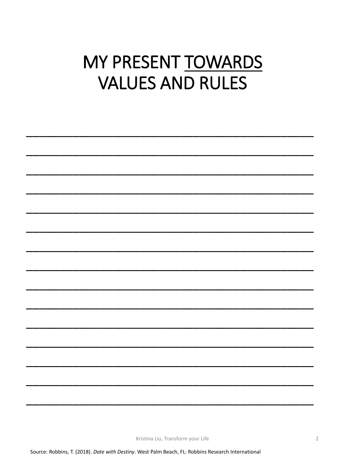### MY PRESENT TOWARDS **VALUES AND RULES**

Kristina Liu, Transform your Life

Source: Robbins, T. (2018). Date with Destiny. West Palm Beach, FL: Robbins Research International